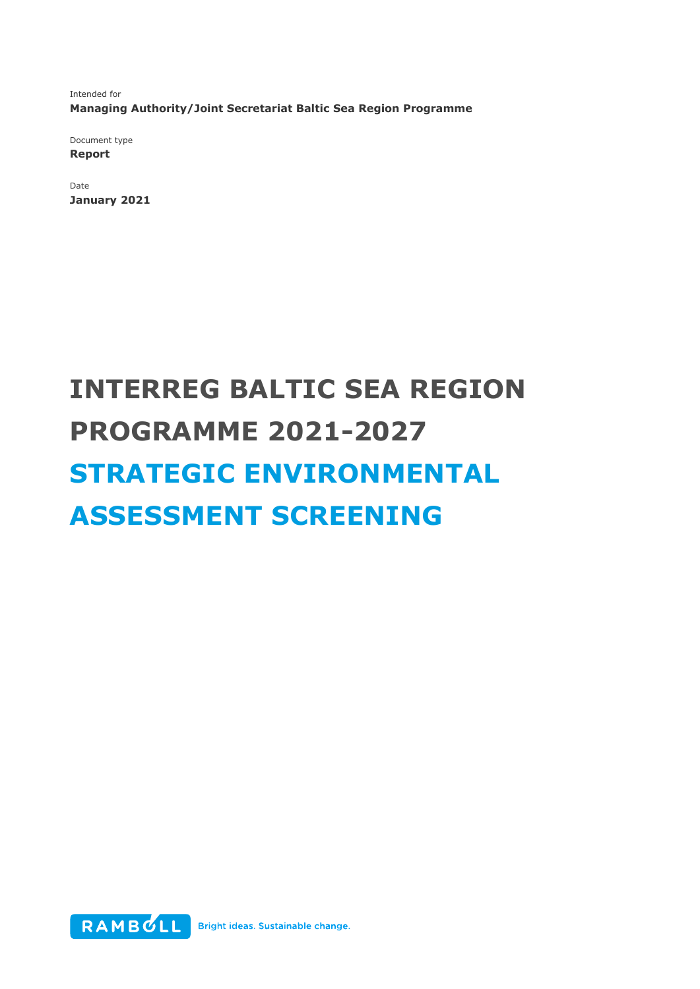Intended for **Managing Authority/Joint Secretariat Baltic Sea Region Programme** 

Document type **Report** 

Date **January 2021** 

# **INTERREG BALTIC SEA REGION PROGRAMME 2021-2027 STRATEGIC ENVIRONMENTAL ASSESSMENT SCREENING**

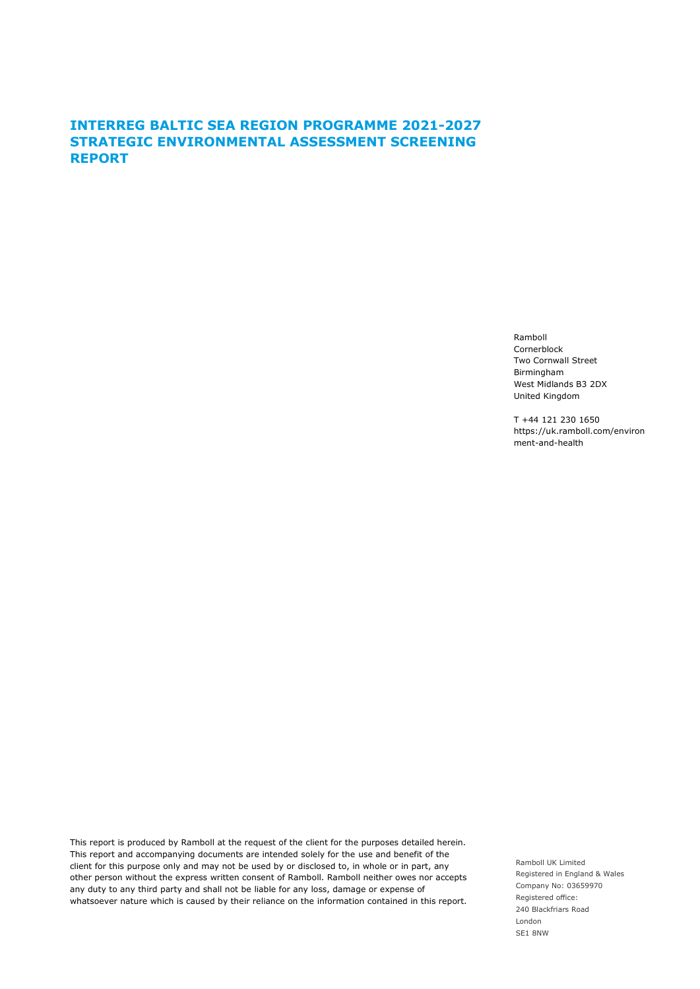### **INTERREG BALTIC SEA REGION PROGRAMME 2021-2027 STRATEGIC ENVIRONMENTAL ASSESSMENT SCREENING REPORT**

Ramboll Cornerblock Two Cornwall Street Birmingham West Midlands B3 2DX United Kingdom

T +44 121 230 1650 https://uk.ramboll.com/environ ment-and-health

This report is produced by Ramboll at the request of the client for the purposes detailed herein. This report and accompanying documents are intended solely for the use and benefit of the client for this purpose only and may not be used by or disclosed to, in whole or in part, any other person without the express written consent of Ramboll. Ramboll neither owes nor accepts any duty to any third party and shall not be liable for any loss, damage or expense of whatsoever nature which is caused by their reliance on the information contained in this report.

Ramboll UK Limited Registered in England & Wales Company No: 03659970 Registered office: 240 Blackfriars Road London SE1 8NW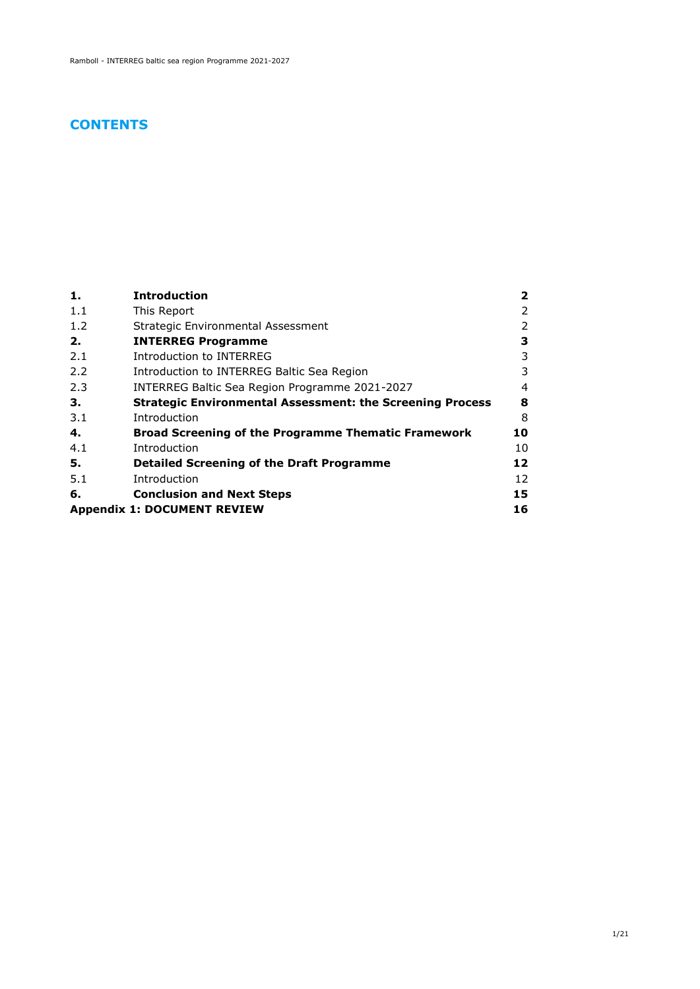### **CONTENTS**

| 1.                                       | <b>Introduction</b>                                              | 2  |
|------------------------------------------|------------------------------------------------------------------|----|
| 1.1                                      | This Report                                                      | 2  |
| 1.2                                      | Strategic Environmental Assessment                               | 2  |
| 2.                                       | <b>INTERREG Programme</b>                                        | З  |
| 2.1                                      | Introduction to INTERREG                                         | 3  |
| 2.2                                      | Introduction to INTERREG Baltic Sea Region                       | 3  |
| 2.3                                      | INTERREG Baltic Sea Region Programme 2021-2027                   | 4  |
| З.                                       | <b>Strategic Environmental Assessment: the Screening Process</b> | 8  |
| 3.1                                      | Introduction                                                     | 8  |
| 4.                                       | <b>Broad Screening of the Programme Thematic Framework</b>       | 10 |
| 4.1                                      | Introduction                                                     | 10 |
| 5.                                       | <b>Detailed Screening of the Draft Programme</b>                 | 12 |
| 5.1                                      | Introduction                                                     | 12 |
| 6.                                       | <b>Conclusion and Next Steps</b>                                 | 15 |
| 16<br><b>Appendix 1: DOCUMENT REVIEW</b> |                                                                  |    |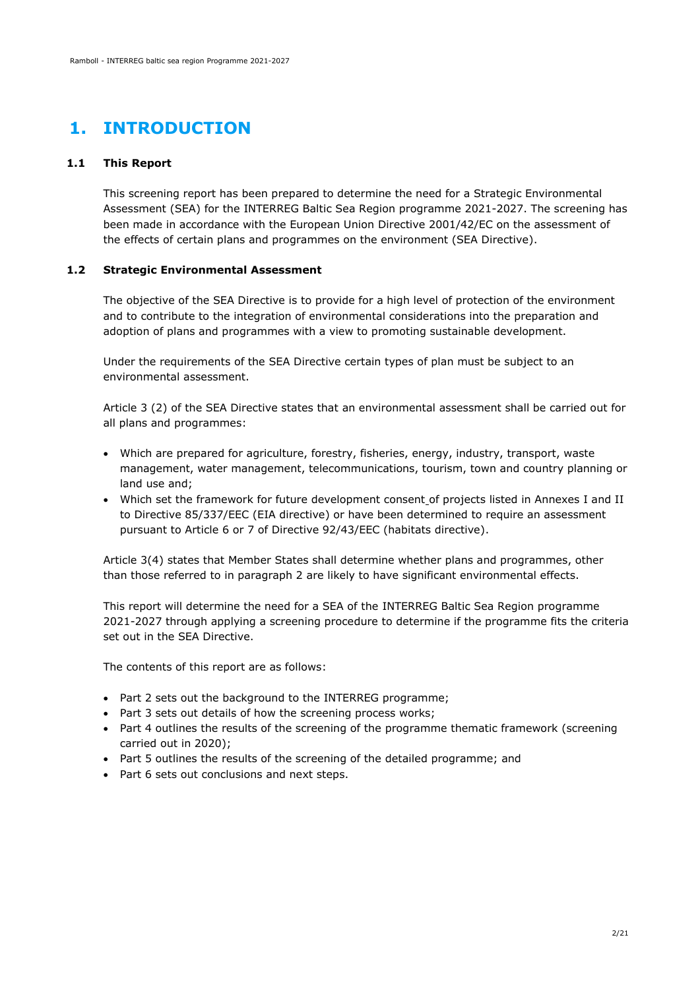# <span id="page-3-0"></span>**1. INTRODUCTION**

#### **1.1 This Report**

<span id="page-3-1"></span>This screening report has been prepared to determine the need for a Strategic Environmental Assessment (SEA) for the INTERREG Baltic Sea Region programme 2021-2027. The screening has been made in accordance with the European Union Directive 2001/42/EC on the assessment of the effects of certain plans and programmes on the environment (SEA Directive).

#### **1.2 Strategic Environmental Assessment**

<span id="page-3-2"></span>The objective of the SEA Directive is to provide for a high level of protection of the environment and to contribute to the integration of environmental considerations into the preparation and adoption of plans and programmes with a view to promoting sustainable development.

Under the requirements of the SEA Directive certain types of plan must be subject to an environmental assessment.

Article 3 (2) of the SEA Directive states that an environmental assessment shall be carried out for all plans and programmes:

- Which are prepared for agriculture, forestry, fisheries, energy, industry, transport, waste management, water management, telecommunications, tourism, town and country planning or land use and;
- Which set the framework for future development consent of projects listed in Annexes I and II to Directive 85/337/EEC (EIA directive) or have been determined to require an assessment pursuant to Article 6 or 7 of Directive 92/43/EEC (habitats directive).

Article 3(4) states that Member States shall determine whether plans and programmes, other than those referred to in paragraph 2 are likely to have significant environmental effects.

This report will determine the need for a SEA of the INTERREG Baltic Sea Region programme 2021-2027 through applying a screening procedure to determine if the programme fits the criteria set out in the SEA Directive.

The contents of this report are as follows:

- Part 2 sets out the background to the INTERREG programme;
- Part 3 sets out details of how the screening process works;
- Part 4 outlines the results of the screening of the programme thematic framework (screening carried out in 2020);
- Part 5 outlines the results of the screening of the detailed programme; and
- Part 6 sets out conclusions and next steps.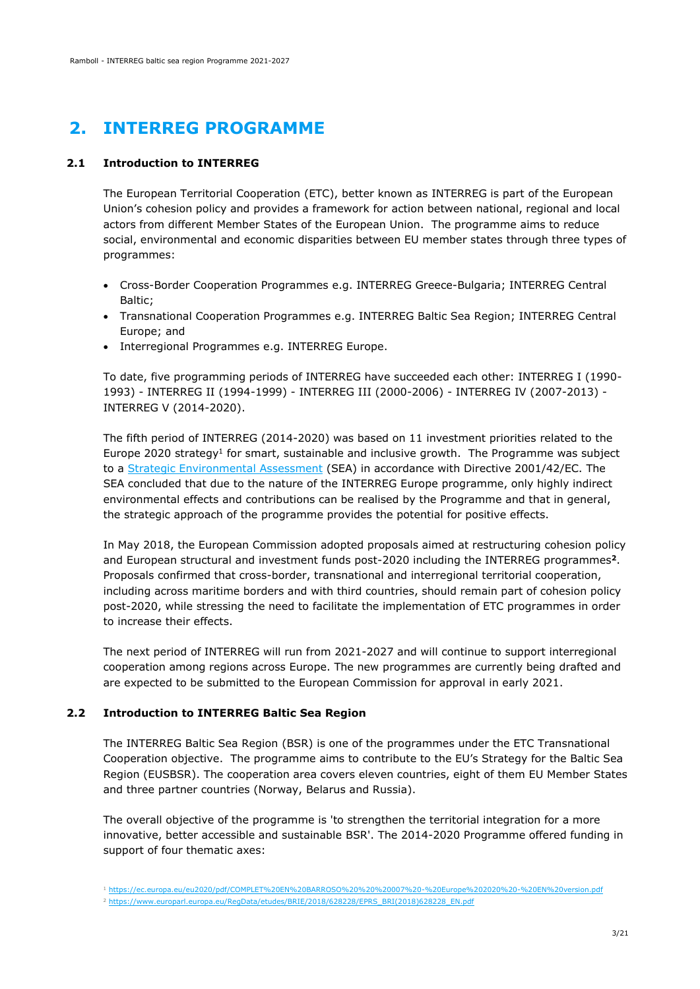# <span id="page-4-0"></span>**2. INTERREG PROGRAMME**

#### **2.1 Introduction to INTERREG**

<span id="page-4-1"></span>The European Territorial Cooperation (ETC), better known as INTERREG is part of the European Union's cohesion policy and provides a framework for action between national, regional and local actors from different Member States of the European Union. The programme aims to reduce social, environmental and economic disparities between EU member states through three types of programmes:

- Cross-Border Cooperation Programmes e.g. INTERREG Greece-Bulgaria; INTERREG Central Baltic;
- Transnational Cooperation Programmes e.g. INTERREG Baltic Sea Region; INTERREG Central Europe; and
- Interregional Programmes e.g. INTERREG Europe.

To date, five programming periods of INTERREG have succeeded each other: INTERREG I (1990- 1993) - INTERREG II (1994-1999) - INTERREG III (2000-2006) - INTERREG IV (2007-2013) - INTERREG V (2014-2020).

The fifth period of INTERREG (2014-2020) was based on 11 investment priorities related to the Europe 2020 strategy<sup>1</sup> for smart, sustainable and inclusive growth. The Programme was subject to a [Strategic Environmental Assessment](https://www.interregeurope.eu/fileadmin/user_upload/documents/Interreg_Europe_Environmental_Report_final_version.pdf) (SEA) in accordance with Directive 2001/42/EC. The SEA concluded that due to the nature of the INTERREG Europe programme, only highly indirect environmental effects and contributions can be realised by the Programme and that in general, the strategic approach of the programme provides the potential for positive effects.

In May 2018, the European Commission adopted proposals aimed at restructuring cohesion policy and European structural and investment funds post-2020 including the INTERREG programmes**<sup>2</sup>**. Proposals confirmed that cross-border, transnational and interregional territorial cooperation, including across maritime borders and with third countries, should remain part of cohesion policy post-2020, while stressing the need to facilitate the implementation of ETC programmes in order to increase their effects.

The next period of INTERREG will run from 2021-2027 and will continue to support interregional cooperation among regions across Europe. The new programmes are currently being drafted and are expected to be submitted to the European Commission for approval in early 2021.

#### **2.2 Introduction to INTERREG Baltic Sea Region**

<span id="page-4-2"></span>The INTERREG Baltic Sea Region (BSR) is one of the programmes under the ETC Transnational Cooperation objective. The programme aims to contribute to the EU's Strategy for the Baltic Sea Region (EUSBSR). The cooperation area covers eleven countries, eight of them EU Member States and three partner countries (Norway, Belarus and Russia).

The overall objective of the programme is 'to strengthen the territorial integration for a more innovative, better accessible and sustainable BSR'. The 2014-2020 Programme offered funding in support of four thematic axes:

<sup>1</sup> <https://ec.europa.eu/eu2020/pdf/COMPLET%20EN%20BARROSO%20%20%20007%20-%20Europe%202020%20-%20EN%20version.pdf>

<sup>2</sup> [https://www.europarl.europa.eu/RegData/etudes/BRIE/2018/628228/EPRS\\_BRI\(2018\)628228\\_EN.pdf](https://www.europarl.europa.eu/RegData/etudes/BRIE/2018/628228/EPRS_BRI(2018)628228_EN.pdf)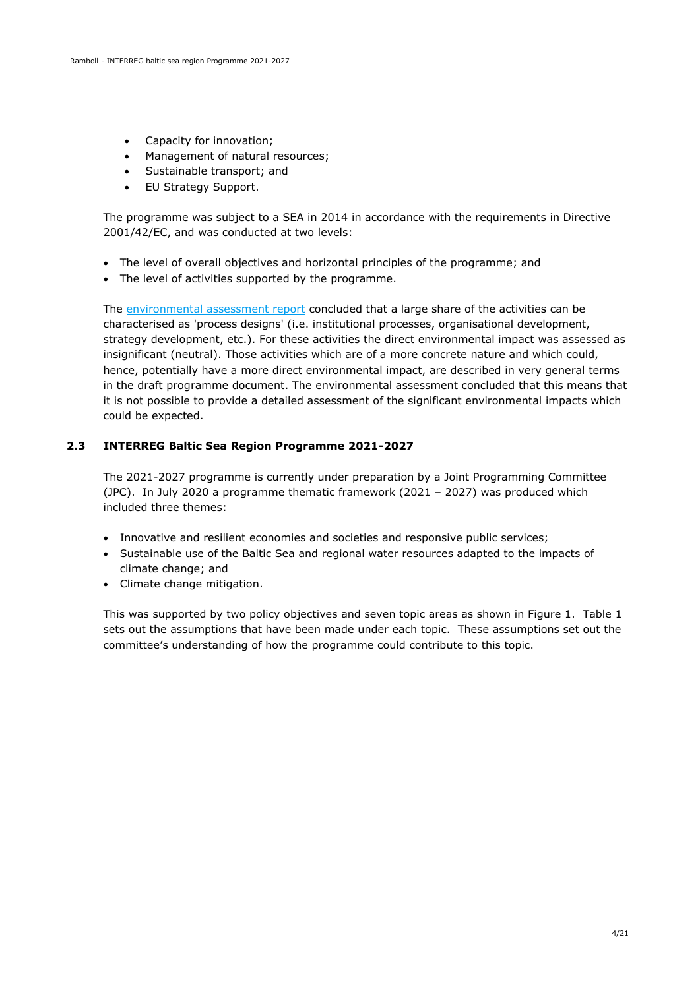- Capacity for innovation;
- Management of natural resources;
- Sustainable transport; and
- EU Strategy Support.

The programme was subject to a SEA in 2014 in accordance with the requirements in Directive 2001/42/EC, and was conducted at two levels:

- The level of overall objectives and horizontal principles of the programme; and
- The level of activities supported by the programme.

The [environmental assessment report](https://www.siseministeerium.ee/sites/default/files/dokumendid/bsr_sea_draft_report.pdf) concluded that a large share of the activities can be characterised as 'process designs' (i.e. institutional processes, organisational development, strategy development, etc.). For these activities the direct environmental impact was assessed as insignificant (neutral). Those activities which are of a more concrete nature and which could, hence, potentially have a more direct environmental impact, are described in very general terms in the draft programme document. The environmental assessment concluded that this means that it is not possible to provide a detailed assessment of the significant environmental impacts which could be expected.

#### **2.3 INTERREG Baltic Sea Region Programme 2021-2027**

<span id="page-5-0"></span>The 2021-2027 programme is currently under preparation by a Joint Programming Committee (JPC). In July 2020 a programme thematic framework (2021 – 2027) was produced which included three themes:

- Innovative and resilient economies and societies and responsive public services;
- Sustainable use of the Baltic Sea and regional water resources adapted to the impacts of climate change; and
- Climate change mitigation.

This was supported by two policy objectives and seven topic areas as shown in Figure 1. Table 1 sets out the assumptions that have been made under each topic. These assumptions set out the committee's understanding of how the programme could contribute to this topic.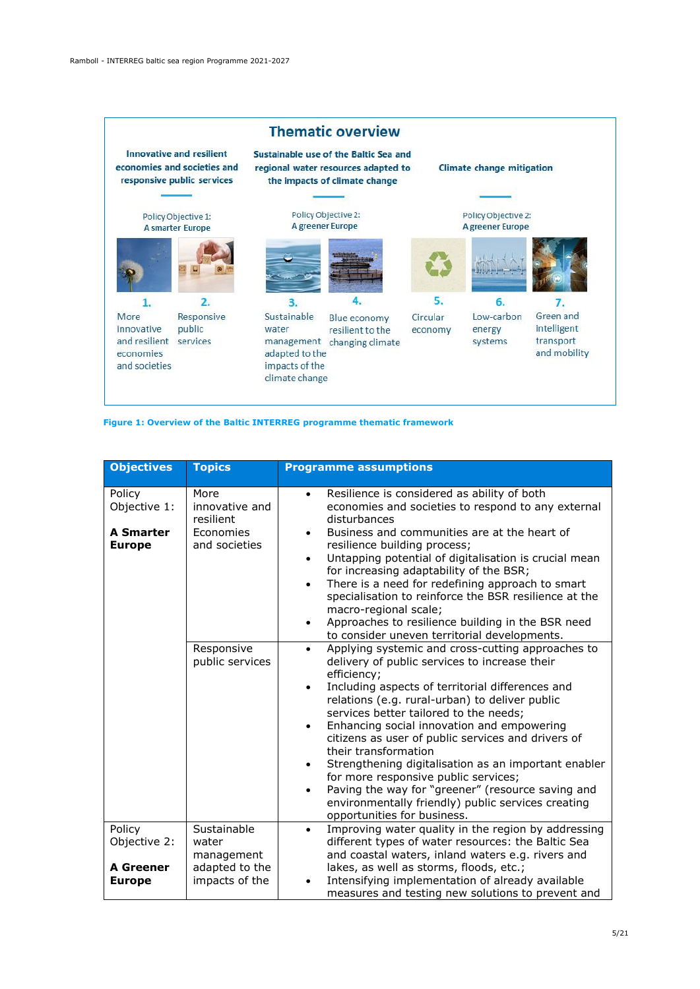

#### **Figure 1: Overview of the Baltic INTERREG programme thematic framework**

| <b>Objectives</b>                                           | <b>Topics</b>                                                          | <b>Programme assumptions</b>                                                                                                                                                                                                                                                                                                                                                                                                                                                                                                                                                                                                                                                |
|-------------------------------------------------------------|------------------------------------------------------------------------|-----------------------------------------------------------------------------------------------------------------------------------------------------------------------------------------------------------------------------------------------------------------------------------------------------------------------------------------------------------------------------------------------------------------------------------------------------------------------------------------------------------------------------------------------------------------------------------------------------------------------------------------------------------------------------|
| Policy<br>Objective 1:<br><b>A Smarter</b><br><b>Europe</b> | More<br>innovative and<br>resilient<br>Economies<br>and societies      | Resilience is considered as ability of both<br>$\bullet$<br>economies and societies to respond to any external<br>disturbances<br>Business and communities are at the heart of<br>$\bullet$<br>resilience building process;<br>Untapping potential of digitalisation is crucial mean<br>$\bullet$<br>for increasing adaptability of the BSR;<br>There is a need for redefining approach to smart<br>$\bullet$<br>specialisation to reinforce the BSR resilience at the<br>macro-regional scale;<br>Approaches to resilience building in the BSR need<br>$\bullet$<br>to consider uneven territorial developments.                                                           |
|                                                             | Responsive<br>public services                                          | Applying systemic and cross-cutting approaches to<br>$\bullet$<br>delivery of public services to increase their<br>efficiency;<br>Including aspects of territorial differences and<br>relations (e.g. rural-urban) to deliver public<br>services better tailored to the needs;<br>Enhancing social innovation and empowering<br>$\bullet$<br>citizens as user of public services and drivers of<br>their transformation<br>Strengthening digitalisation as an important enabler<br>٠<br>for more responsive public services;<br>Paving the way for "greener" (resource saving and<br>٠<br>environmentally friendly) public services creating<br>opportunities for business. |
| Policy<br>Objective 2:<br><b>A Greener</b><br><b>Europe</b> | Sustainable<br>water<br>management<br>adapted to the<br>impacts of the | Improving water quality in the region by addressing<br>$\bullet$<br>different types of water resources: the Baltic Sea<br>and coastal waters, inland waters e.g. rivers and<br>lakes, as well as storms, floods, etc.;<br>Intensifying implementation of already available<br>$\bullet$<br>measures and testing new solutions to prevent and                                                                                                                                                                                                                                                                                                                                |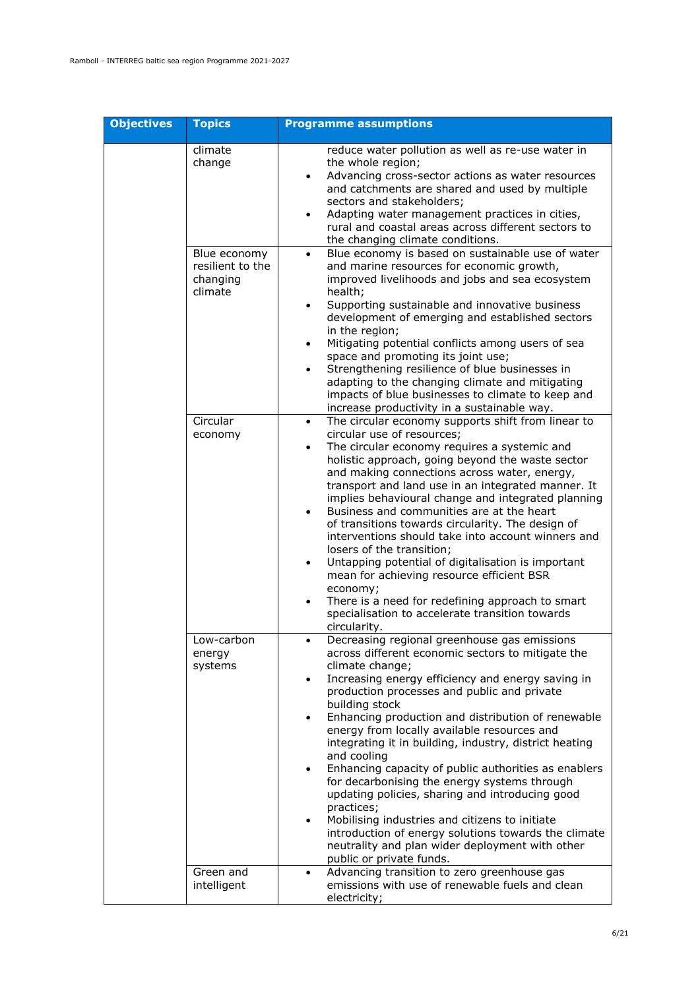| <b>Objectives</b> | <b>Topics</b>                                           | <b>Programme assumptions</b>                                                                                                                                                                                                                                                                                                                                                                                                                                                                                                                                                                                                                                                                                                                                                                                                                   |
|-------------------|---------------------------------------------------------|------------------------------------------------------------------------------------------------------------------------------------------------------------------------------------------------------------------------------------------------------------------------------------------------------------------------------------------------------------------------------------------------------------------------------------------------------------------------------------------------------------------------------------------------------------------------------------------------------------------------------------------------------------------------------------------------------------------------------------------------------------------------------------------------------------------------------------------------|
|                   | climate<br>change                                       | reduce water pollution as well as re-use water in<br>the whole region;<br>Advancing cross-sector actions as water resources<br>$\bullet$<br>and catchments are shared and used by multiple<br>sectors and stakeholders;<br>Adapting water management practices in cities,<br>$\bullet$<br>rural and coastal areas across different sectors to<br>the changing climate conditions.                                                                                                                                                                                                                                                                                                                                                                                                                                                              |
|                   | Blue economy<br>resilient to the<br>changing<br>climate | Blue economy is based on sustainable use of water<br>$\bullet$<br>and marine resources for economic growth,<br>improved livelihoods and jobs and sea ecosystem<br>health;<br>Supporting sustainable and innovative business<br>$\bullet$<br>development of emerging and established sectors<br>in the region;<br>Mitigating potential conflicts among users of sea<br>$\bullet$<br>space and promoting its joint use;<br>Strengthening resilience of blue businesses in<br>$\bullet$<br>adapting to the changing climate and mitigating<br>impacts of blue businesses to climate to keep and<br>increase productivity in a sustainable way.                                                                                                                                                                                                    |
|                   | Circular<br>economy                                     | The circular economy supports shift from linear to<br>$\bullet$<br>circular use of resources;<br>The circular economy requires a systemic and<br>$\bullet$<br>holistic approach, going beyond the waste sector<br>and making connections across water, energy,<br>transport and land use in an integrated manner. It<br>implies behavioural change and integrated planning<br>Business and communities are at the heart<br>$\bullet$<br>of transitions towards circularity. The design of<br>interventions should take into account winners and<br>losers of the transition;<br>Untapping potential of digitalisation is important<br>$\bullet$<br>mean for achieving resource efficient BSR<br>economy;<br>There is a need for redefining approach to smart<br>specialisation to accelerate transition towards<br>circularity.                |
|                   | Low-carbon<br>energy<br>systems                         | Decreasing regional greenhouse gas emissions<br>across different economic sectors to mitigate the<br>climate change;<br>Increasing energy efficiency and energy saving in<br>$\bullet$<br>production processes and public and private<br>building stock<br>Enhancing production and distribution of renewable<br>$\bullet$<br>energy from locally available resources and<br>integrating it in building, industry, district heating<br>and cooling<br>Enhancing capacity of public authorities as enablers<br>$\bullet$<br>for decarbonising the energy systems through<br>updating policies, sharing and introducing good<br>practices;<br>Mobilising industries and citizens to initiate<br>$\bullet$<br>introduction of energy solutions towards the climate<br>neutrality and plan wider deployment with other<br>public or private funds. |
|                   | Green and<br>intelligent                                | Advancing transition to zero greenhouse gas<br>$\bullet$<br>emissions with use of renewable fuels and clean<br>electricity;                                                                                                                                                                                                                                                                                                                                                                                                                                                                                                                                                                                                                                                                                                                    |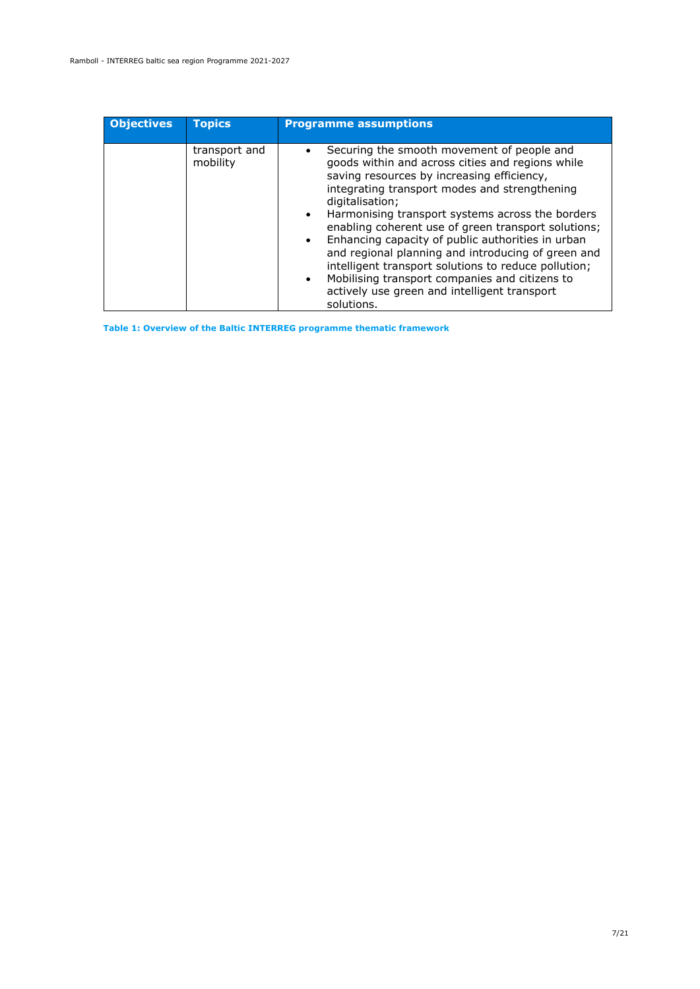| <b>Objectives</b> | <b>Topics</b>             | <b>Programme assumptions</b>                                                                                                                                                                                                                                                                                                                                                                                                                                                                                                                                                                                                                          |
|-------------------|---------------------------|-------------------------------------------------------------------------------------------------------------------------------------------------------------------------------------------------------------------------------------------------------------------------------------------------------------------------------------------------------------------------------------------------------------------------------------------------------------------------------------------------------------------------------------------------------------------------------------------------------------------------------------------------------|
|                   | transport and<br>mobility | Securing the smooth movement of people and<br>goods within and across cities and regions while<br>saving resources by increasing efficiency,<br>integrating transport modes and strengthening<br>digitalisation;<br>Harmonising transport systems across the borders<br>$\bullet$<br>enabling coherent use of green transport solutions;<br>Enhancing capacity of public authorities in urban<br>$\bullet$<br>and regional planning and introducing of green and<br>intelligent transport solutions to reduce pollution;<br>Mobilising transport companies and citizens to<br>$\bullet$<br>actively use green and intelligent transport<br>solutions. |

**Table 1: Overview of the Baltic INTERREG programme thematic framework**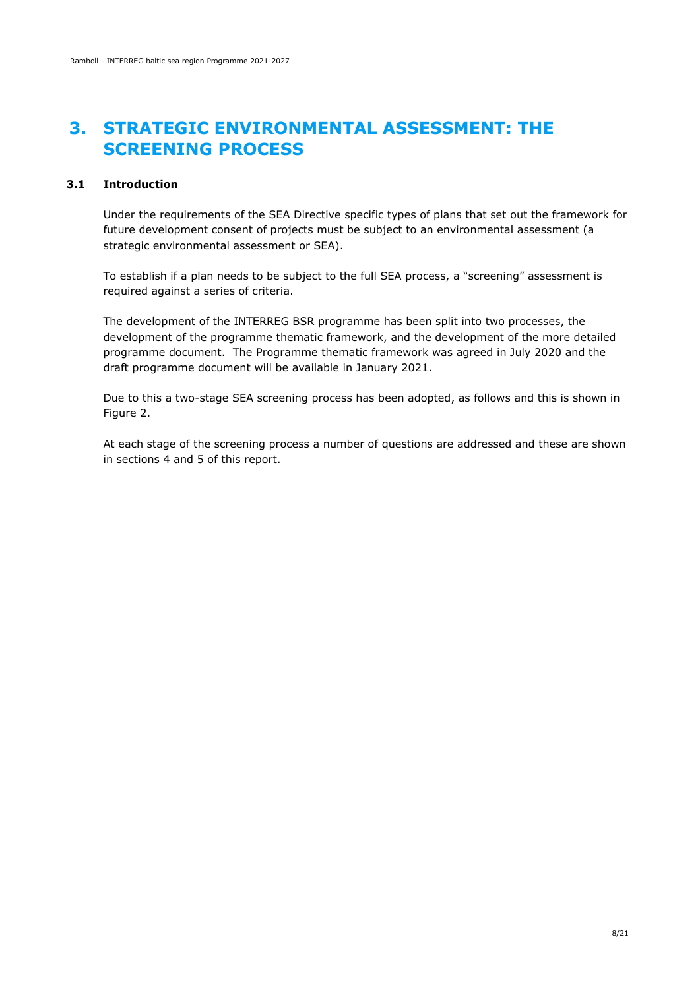### <span id="page-9-0"></span>**3. STRATEGIC ENVIRONMENTAL ASSESSMENT: THE SCREENING PROCESS**

#### **3.1 Introduction**

<span id="page-9-1"></span>Under the requirements of the SEA Directive specific types of plans that set out the framework for future development consent of projects must be subject to an environmental assessment (a strategic environmental assessment or SEA).

To establish if a plan needs to be subject to the full SEA process, a "screening" assessment is required against a series of criteria.

The development of the INTERREG BSR programme has been split into two processes, the development of the programme thematic framework, and the development of the more detailed programme document. The Programme thematic framework was agreed in July 2020 and the draft programme document will be available in January 2021.

Due to this a two-stage SEA screening process has been adopted, as follows and this is shown in Figure 2.

At each stage of the screening process a number of questions are addressed and these are shown in sections 4 and 5 of this report.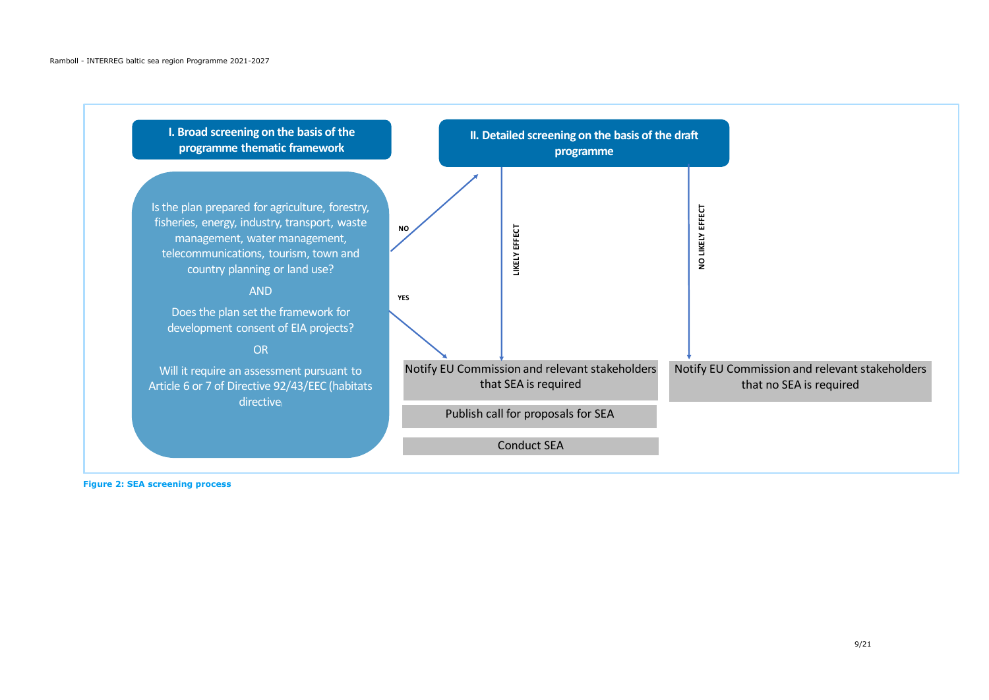

**Figure 2: SEA screening process**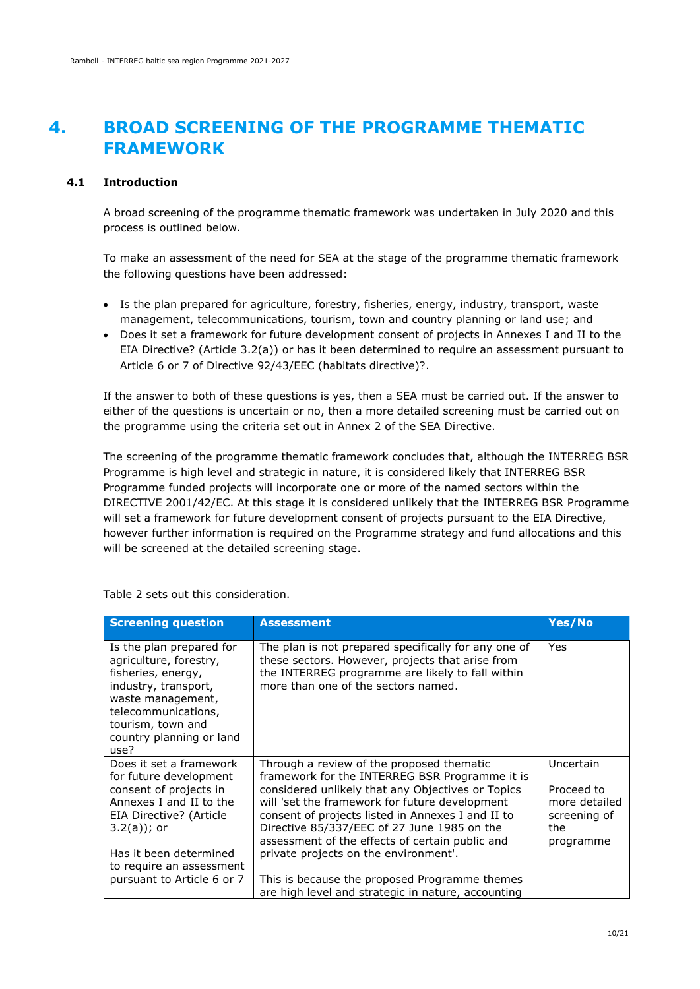### <span id="page-11-0"></span>**4. BROAD SCREENING OF THE PROGRAMME THEMATIC FRAMEWORK**

#### **4.1 Introduction**

<span id="page-11-1"></span>A broad screening of the programme thematic framework was undertaken in July 2020 and this process is outlined below.

To make an assessment of the need for SEA at the stage of the programme thematic framework the following questions have been addressed:

- Is the plan prepared for agriculture, forestry, fisheries, energy, industry, transport, waste management, telecommunications, tourism, town and country planning or land use; and
- Does it set a framework for future development consent of projects in Annexes I and II to the EIA Directive? (Article 3.2(a)) or has it been determined to require an assessment pursuant to Article 6 or 7 of Directive 92/43/EEC (habitats directive)?.

If the answer to both of these questions is yes, then a SEA must be carried out. If the answer to either of the questions is uncertain or no, then a more detailed screening must be carried out on the programme using the criteria set out in Annex 2 of the SEA Directive.

The screening of the programme thematic framework concludes that, although the INTERREG BSR Programme is high level and strategic in nature, it is considered likely that INTERREG BSR Programme funded projects will incorporate one or more of the named sectors within the DIRECTIVE 2001/42/EC. At this stage it is considered unlikely that the INTERREG BSR Programme will set a framework for future development consent of projects pursuant to the EIA Directive, however further information is required on the Programme strategy and fund allocations and this will be screened at the detailed screening stage.

| <b>Screening question</b>                                                                                                                                                                             | <b>Assessment</b>                                                                                                                                                                                                                                                                                                                                         | Yes/No                                                                       |
|-------------------------------------------------------------------------------------------------------------------------------------------------------------------------------------------------------|-----------------------------------------------------------------------------------------------------------------------------------------------------------------------------------------------------------------------------------------------------------------------------------------------------------------------------------------------------------|------------------------------------------------------------------------------|
| Is the plan prepared for<br>agriculture, forestry,<br>fisheries, energy,<br>industry, transport,<br>waste management,<br>telecommunications,<br>tourism, town and<br>country planning or land<br>use? | The plan is not prepared specifically for any one of<br>these sectors. However, projects that arise from<br>the INTERREG programme are likely to fall within<br>more than one of the sectors named.                                                                                                                                                       | Yes                                                                          |
| Does it set a framework<br>for future development<br>consent of projects in<br>Annexes I and II to the<br>EIA Directive? (Article<br>$3.2(a)$ ; or                                                    | Through a review of the proposed thematic<br>framework for the INTERREG BSR Programme it is<br>considered unlikely that any Objectives or Topics<br>will 'set the framework for future development<br>consent of projects listed in Annexes I and II to<br>Directive 85/337/EEC of 27 June 1985 on the<br>assessment of the effects of certain public and | Uncertain<br>Proceed to<br>more detailed<br>screening of<br>the<br>programme |
| Has it been determined<br>to require an assessment<br>pursuant to Article 6 or 7                                                                                                                      | private projects on the environment'.<br>This is because the proposed Programme themes<br>are high level and strategic in nature, accounting                                                                                                                                                                                                              |                                                                              |

Table 2 sets out this consideration.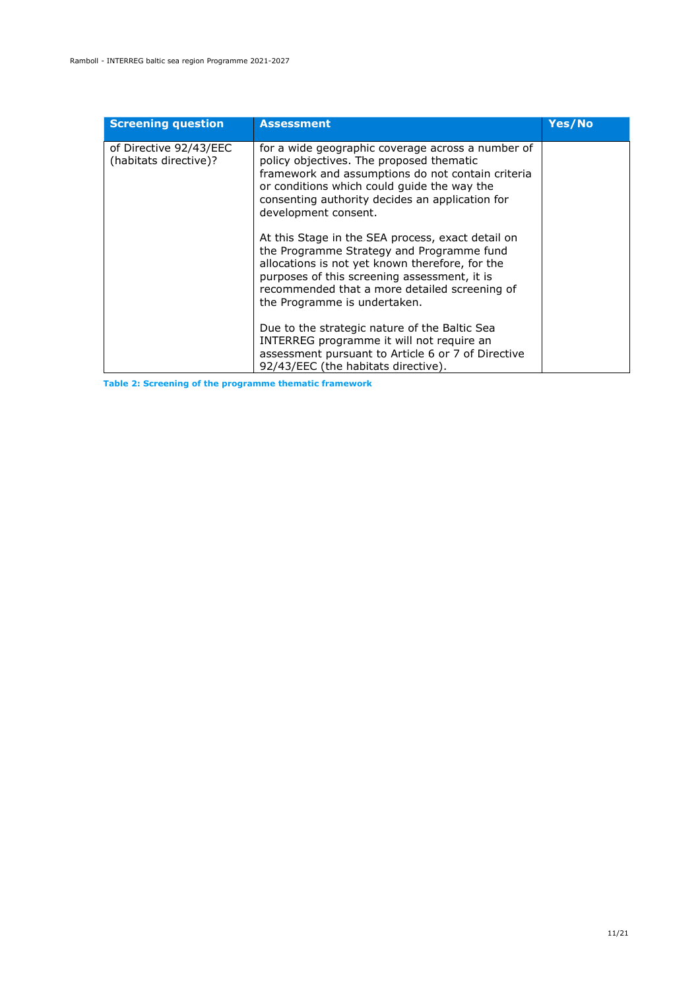| <b>Screening question</b>                       | <b>Assessment</b>                                                                                                                                                                                                                                                                  | Yes/No |
|-------------------------------------------------|------------------------------------------------------------------------------------------------------------------------------------------------------------------------------------------------------------------------------------------------------------------------------------|--------|
| of Directive 92/43/EEC<br>(habitats directive)? | for a wide geographic coverage across a number of<br>policy objectives. The proposed thematic<br>framework and assumptions do not contain criteria<br>or conditions which could guide the way the<br>consenting authority decides an application for<br>development consent.       |        |
|                                                 | At this Stage in the SEA process, exact detail on<br>the Programme Strategy and Programme fund<br>allocations is not yet known therefore, for the<br>purposes of this screening assessment, it is<br>recommended that a more detailed screening of<br>the Programme is undertaken. |        |
|                                                 | Due to the strategic nature of the Baltic Sea<br>INTERREG programme it will not require an<br>assessment pursuant to Article 6 or 7 of Directive<br>92/43/EEC (the habitats directive).                                                                                            |        |

**Table 2: Screening of the programme thematic framework**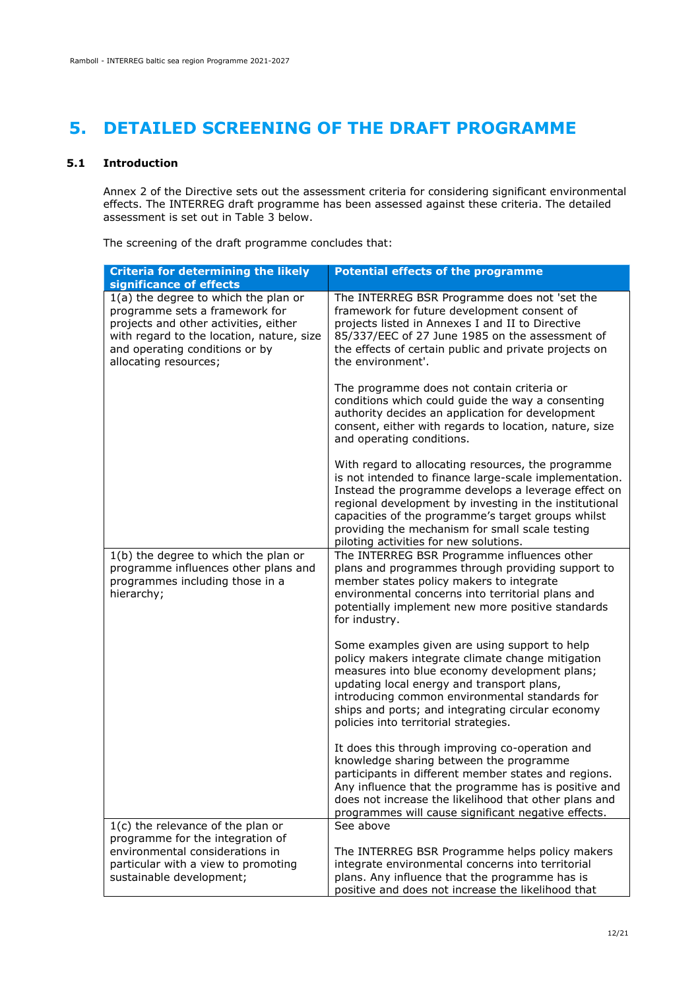# <span id="page-13-0"></span>**5. DETAILED SCREENING OF THE DRAFT PROGRAMME**

### **5.1 Introduction**

<span id="page-13-1"></span>Annex 2 of the Directive sets out the assessment criteria for considering significant environmental effects. The INTERREG draft programme has been assessed against these criteria. The detailed assessment is set out in Table 3 below.

The screening of the draft programme concludes that:

| <b>Criteria for determining the likely</b>                                                                                                                                                                              | <b>Potential effects of the programme</b>                                                                                                                                                                                                                                                                                                                                        |
|-------------------------------------------------------------------------------------------------------------------------------------------------------------------------------------------------------------------------|----------------------------------------------------------------------------------------------------------------------------------------------------------------------------------------------------------------------------------------------------------------------------------------------------------------------------------------------------------------------------------|
| significance of effects                                                                                                                                                                                                 |                                                                                                                                                                                                                                                                                                                                                                                  |
| 1(a) the degree to which the plan or<br>programme sets a framework for<br>projects and other activities, either<br>with regard to the location, nature, size<br>and operating conditions or by<br>allocating resources; | The INTERREG BSR Programme does not 'set the<br>framework for future development consent of<br>projects listed in Annexes I and II to Directive<br>85/337/EEC of 27 June 1985 on the assessment of<br>the effects of certain public and private projects on<br>the environment'.                                                                                                 |
|                                                                                                                                                                                                                         | The programme does not contain criteria or<br>conditions which could guide the way a consenting<br>authority decides an application for development<br>consent, either with regards to location, nature, size<br>and operating conditions.                                                                                                                                       |
|                                                                                                                                                                                                                         | With regard to allocating resources, the programme<br>is not intended to finance large-scale implementation.<br>Instead the programme develops a leverage effect on<br>regional development by investing in the institutional<br>capacities of the programme's target groups whilst<br>providing the mechanism for small scale testing<br>piloting activities for new solutions. |
| 1(b) the degree to which the plan or<br>programme influences other plans and<br>programmes including those in a<br>hierarchy;                                                                                           | The INTERREG BSR Programme influences other<br>plans and programmes through providing support to<br>member states policy makers to integrate<br>environmental concerns into territorial plans and<br>potentially implement new more positive standards<br>for industry.                                                                                                          |
|                                                                                                                                                                                                                         | Some examples given are using support to help<br>policy makers integrate climate change mitigation<br>measures into blue economy development plans;<br>updating local energy and transport plans,<br>introducing common environmental standards for<br>ships and ports; and integrating circular economy<br>policies into territorial strategies.                                |
|                                                                                                                                                                                                                         | It does this through improving co-operation and<br>knowledge sharing between the programme<br>participants in different member states and regions.<br>Any influence that the programme has is positive and<br>does not increase the likelihood that other plans and<br>programmes will cause significant negative effects.                                                       |
| 1(c) the relevance of the plan or                                                                                                                                                                                       | See above                                                                                                                                                                                                                                                                                                                                                                        |
| programme for the integration of<br>environmental considerations in                                                                                                                                                     |                                                                                                                                                                                                                                                                                                                                                                                  |
| particular with a view to promoting                                                                                                                                                                                     | The INTERREG BSR Programme helps policy makers<br>integrate environmental concerns into territorial                                                                                                                                                                                                                                                                              |
| sustainable development;                                                                                                                                                                                                | plans. Any influence that the programme has is<br>positive and does not increase the likelihood that                                                                                                                                                                                                                                                                             |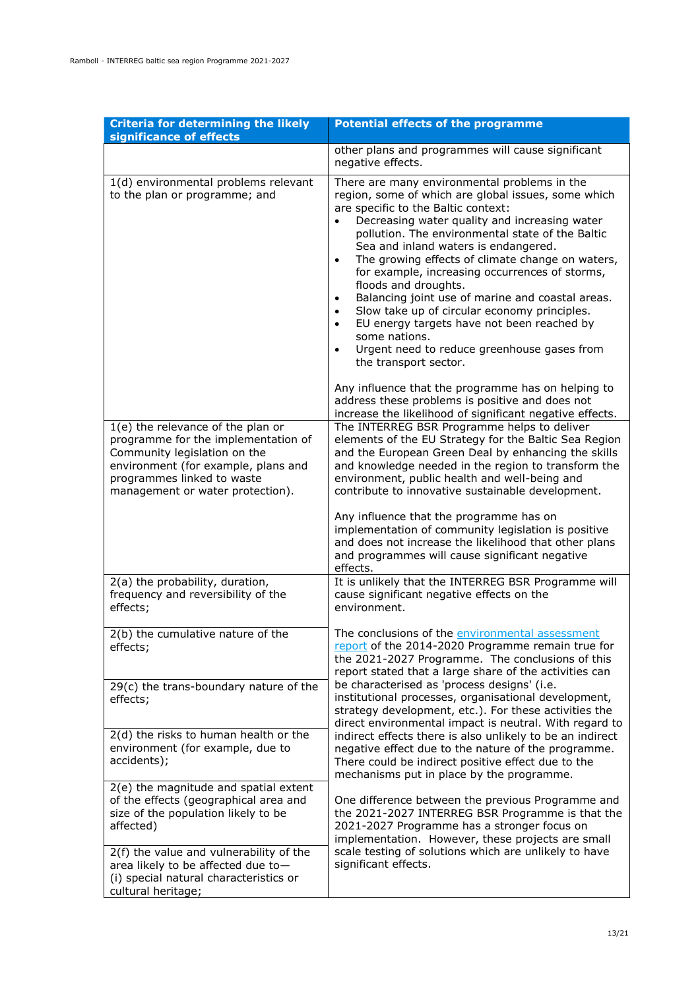| <b>Criteria for determining the likely</b><br>significance of effects                                                                                                                                             | <b>Potential effects of the programme</b>                                                                                                                                                                                                                                                                                                                                                                                                                                                                                                                                                                                                                                                                                                                                                                                                                                         |
|-------------------------------------------------------------------------------------------------------------------------------------------------------------------------------------------------------------------|-----------------------------------------------------------------------------------------------------------------------------------------------------------------------------------------------------------------------------------------------------------------------------------------------------------------------------------------------------------------------------------------------------------------------------------------------------------------------------------------------------------------------------------------------------------------------------------------------------------------------------------------------------------------------------------------------------------------------------------------------------------------------------------------------------------------------------------------------------------------------------------|
|                                                                                                                                                                                                                   | other plans and programmes will cause significant<br>negative effects.                                                                                                                                                                                                                                                                                                                                                                                                                                                                                                                                                                                                                                                                                                                                                                                                            |
| 1(d) environmental problems relevant<br>to the plan or programme; and                                                                                                                                             | There are many environmental problems in the<br>region, some of which are global issues, some which<br>are specific to the Baltic context:<br>Decreasing water quality and increasing water<br>pollution. The environmental state of the Baltic<br>Sea and inland waters is endangered.<br>The growing effects of climate change on waters,<br>$\bullet$<br>for example, increasing occurrences of storms,<br>floods and droughts.<br>Balancing joint use of marine and coastal areas.<br>٠<br>Slow take up of circular economy principles.<br>EU energy targets have not been reached by<br>$\bullet$<br>some nations.<br>Urgent need to reduce greenhouse gases from<br>$\bullet$<br>the transport sector.<br>Any influence that the programme has on helping to<br>address these problems is positive and does not<br>increase the likelihood of significant negative effects. |
| 1(e) the relevance of the plan or<br>programme for the implementation of<br>Community legislation on the<br>environment (for example, plans and<br>programmes linked to waste<br>management or water protection). | The INTERREG BSR Programme helps to deliver<br>elements of the EU Strategy for the Baltic Sea Region<br>and the European Green Deal by enhancing the skills<br>and knowledge needed in the region to transform the<br>environment, public health and well-being and<br>contribute to innovative sustainable development.<br>Any influence that the programme has on<br>implementation of community legislation is positive<br>and does not increase the likelihood that other plans<br>and programmes will cause significant negative<br>effects.                                                                                                                                                                                                                                                                                                                                 |
| 2(a) the probability, duration,<br>frequency and reversibility of the<br>effects;                                                                                                                                 | It is unlikely that the INTERREG BSR Programme will<br>cause significant negative effects on the<br>environment.                                                                                                                                                                                                                                                                                                                                                                                                                                                                                                                                                                                                                                                                                                                                                                  |
| 2(b) the cumulative nature of the<br>effects;<br>29(c) the trans-boundary nature of the                                                                                                                           | The conclusions of the environmental assessment<br>report of the 2014-2020 Programme remain true for<br>the 2021-2027 Programme. The conclusions of this<br>report stated that a large share of the activities can<br>be characterised as 'process designs' (i.e.                                                                                                                                                                                                                                                                                                                                                                                                                                                                                                                                                                                                                 |
| effects;<br>2(d) the risks to human health or the<br>environment (for example, due to<br>accidents);                                                                                                              | institutional processes, organisational development,<br>strategy development, etc.). For these activities the<br>direct environmental impact is neutral. With regard to<br>indirect effects there is also unlikely to be an indirect<br>negative effect due to the nature of the programme.<br>There could be indirect positive effect due to the<br>mechanisms put in place by the programme.                                                                                                                                                                                                                                                                                                                                                                                                                                                                                    |
| 2(e) the magnitude and spatial extent<br>of the effects (geographical area and<br>size of the population likely to be<br>affected)<br>2(f) the value and vulnerability of the                                     | One difference between the previous Programme and<br>the 2021-2027 INTERREG BSR Programme is that the<br>2021-2027 Programme has a stronger focus on<br>implementation. However, these projects are small<br>scale testing of solutions which are unlikely to have                                                                                                                                                                                                                                                                                                                                                                                                                                                                                                                                                                                                                |
| area likely to be affected due to-<br>(i) special natural characteristics or<br>cultural heritage;                                                                                                                | significant effects.                                                                                                                                                                                                                                                                                                                                                                                                                                                                                                                                                                                                                                                                                                                                                                                                                                                              |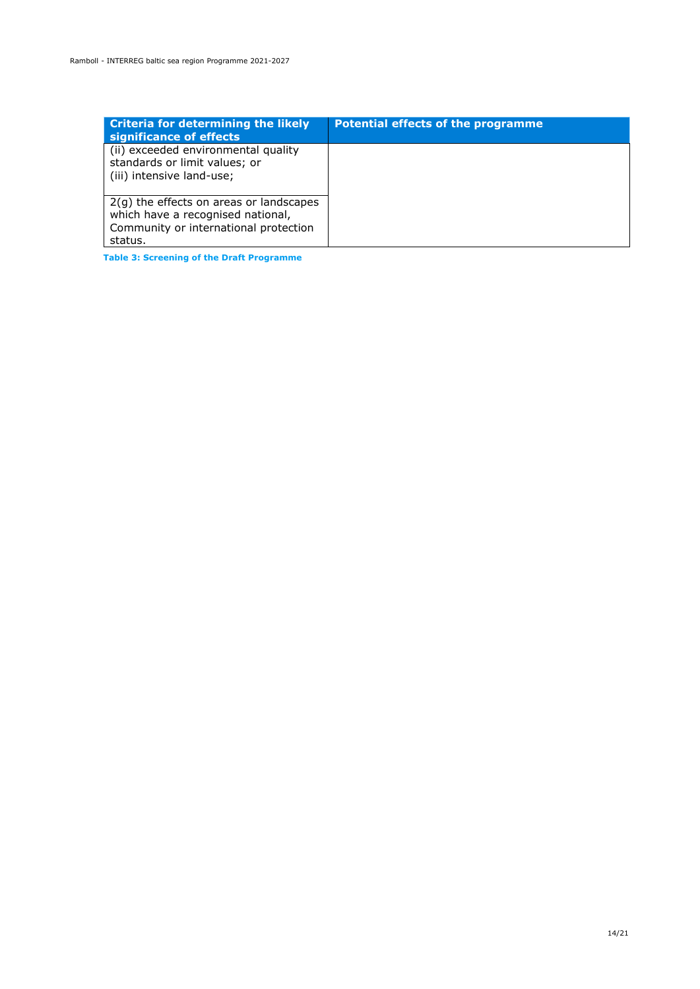| <b>Criteria for determining the likely</b><br>significance of effects                                                              | <b>Potential effects of the programme</b> |
|------------------------------------------------------------------------------------------------------------------------------------|-------------------------------------------|
| (ii) exceeded environmental quality<br>standards or limit values; or<br>(iii) intensive land-use;                                  |                                           |
| $2(g)$ the effects on areas or landscapes<br>which have a recognised national,<br>Community or international protection<br>status. |                                           |

**Table 3: Screening of the Draft Programme**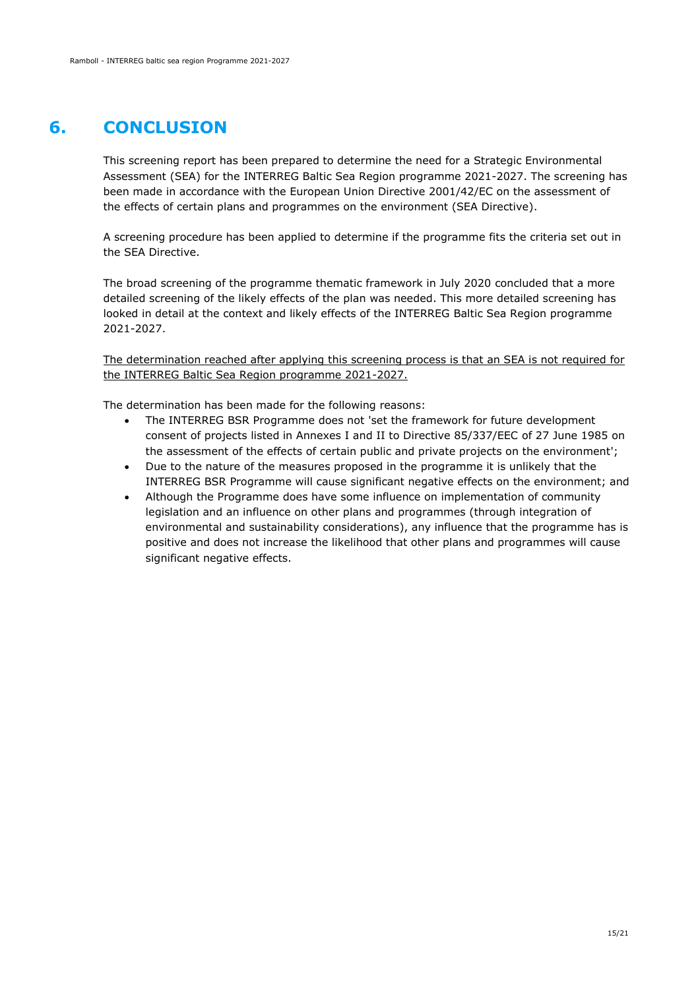### **6. CONCLUSION**

<span id="page-16-0"></span>This screening report has been prepared to determine the need for a Strategic Environmental Assessment (SEA) for the INTERREG Baltic Sea Region programme 2021-2027. The screening has been made in accordance with the European Union Directive 2001/42/EC on the assessment of the effects of certain plans and programmes on the environment (SEA Directive).

A screening procedure has been applied to determine if the programme fits the criteria set out in the SEA Directive.

The broad screening of the programme thematic framework in July 2020 concluded that a more detailed screening of the likely effects of the plan was needed. This more detailed screening has looked in detail at the context and likely effects of the INTERREG Baltic Sea Region programme 2021-2027.

The determination reached after applying this screening process is that an SEA is not required for the INTERREG Baltic Sea Region programme 2021-2027.

The determination has been made for the following reasons:

- The INTERREG BSR Programme does not 'set the framework for future development consent of projects listed in Annexes I and II to Directive 85/337/EEC of 27 June 1985 on the assessment of the effects of certain public and private projects on the environment';
- Due to the nature of the measures proposed in the programme it is unlikely that the INTERREG BSR Programme will cause significant negative effects on the environment; and
- Although the Programme does have some influence on implementation of community legislation and an influence on other plans and programmes (through integration of environmental and sustainability considerations), any influence that the programme has is positive and does not increase the likelihood that other plans and programmes will cause significant negative effects.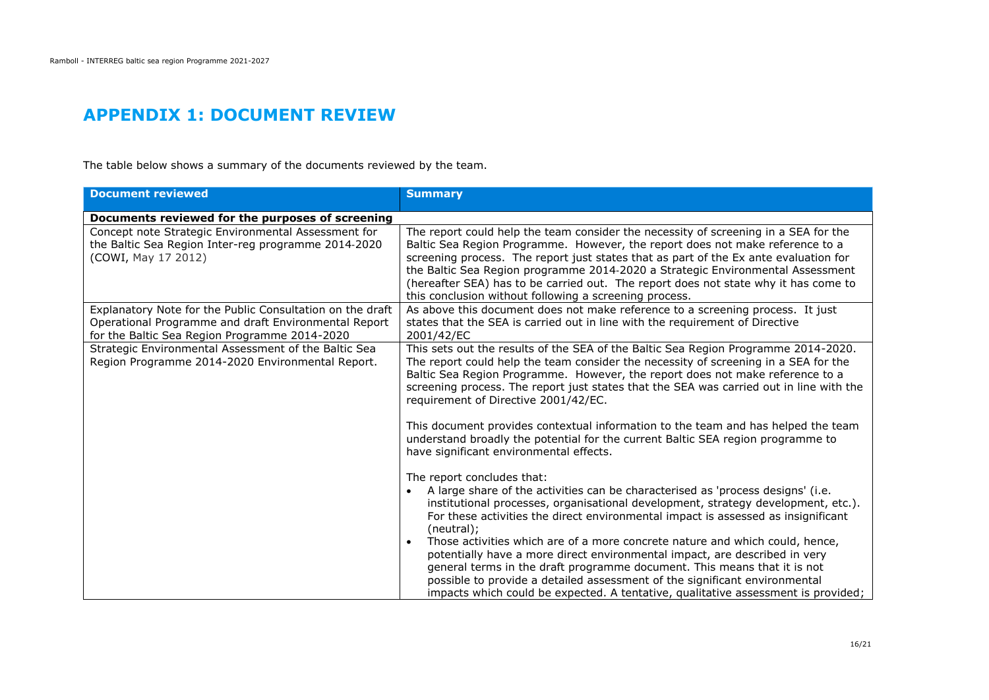### **APPENDIX 1: DOCUMENT REVIEW**

The table below shows a summary of the documents reviewed by the team.

<span id="page-17-0"></span>

| <b>Document reviewed</b>                                                                                                                                           | <b>Summary</b>                                                                                                                                                                                                                                                                                                                                                                                                                                                                                  |
|--------------------------------------------------------------------------------------------------------------------------------------------------------------------|-------------------------------------------------------------------------------------------------------------------------------------------------------------------------------------------------------------------------------------------------------------------------------------------------------------------------------------------------------------------------------------------------------------------------------------------------------------------------------------------------|
| Documents reviewed for the purposes of screening                                                                                                                   |                                                                                                                                                                                                                                                                                                                                                                                                                                                                                                 |
| Concept note Strategic Environmental Assessment for<br>the Baltic Sea Region Inter-reg programme 2014-2020<br>(COWI, May 17 2012)                                  | The report could help the team consider the necessity of screening in a SEA for the<br>Baltic Sea Region Programme. However, the report does not make reference to a<br>screening process. The report just states that as part of the Ex ante evaluation for<br>the Baltic Sea Region programme 2014-2020 a Strategic Environmental Assessment<br>(hereafter SEA) has to be carried out. The report does not state why it has come to<br>this conclusion without following a screening process. |
| Explanatory Note for the Public Consultation on the draft<br>Operational Programme and draft Environmental Report<br>for the Baltic Sea Region Programme 2014-2020 | As above this document does not make reference to a screening process. It just<br>states that the SEA is carried out in line with the requirement of Directive<br>2001/42/EC                                                                                                                                                                                                                                                                                                                    |
| Strategic Environmental Assessment of the Baltic Sea<br>Region Programme 2014-2020 Environmental Report.                                                           | This sets out the results of the SEA of the Baltic Sea Region Programme 2014-2020.<br>The report could help the team consider the necessity of screening in a SEA for the<br>Baltic Sea Region Programme. However, the report does not make reference to a<br>screening process. The report just states that the SEA was carried out in line with the<br>requirement of Directive 2001/42/EC.                                                                                                   |
|                                                                                                                                                                    | This document provides contextual information to the team and has helped the team<br>understand broadly the potential for the current Baltic SEA region programme to<br>have significant environmental effects.                                                                                                                                                                                                                                                                                 |
|                                                                                                                                                                    | The report concludes that:<br>A large share of the activities can be characterised as 'process designs' (i.e.<br>institutional processes, organisational development, strategy development, etc.).<br>For these activities the direct environmental impact is assessed as insignificant<br>(neutral);<br>Those activities which are of a more concrete nature and which could, hence,                                                                                                           |
|                                                                                                                                                                    | potentially have a more direct environmental impact, are described in very<br>general terms in the draft programme document. This means that it is not<br>possible to provide a detailed assessment of the significant environmental<br>impacts which could be expected. A tentative, qualitative assessment is provided;                                                                                                                                                                       |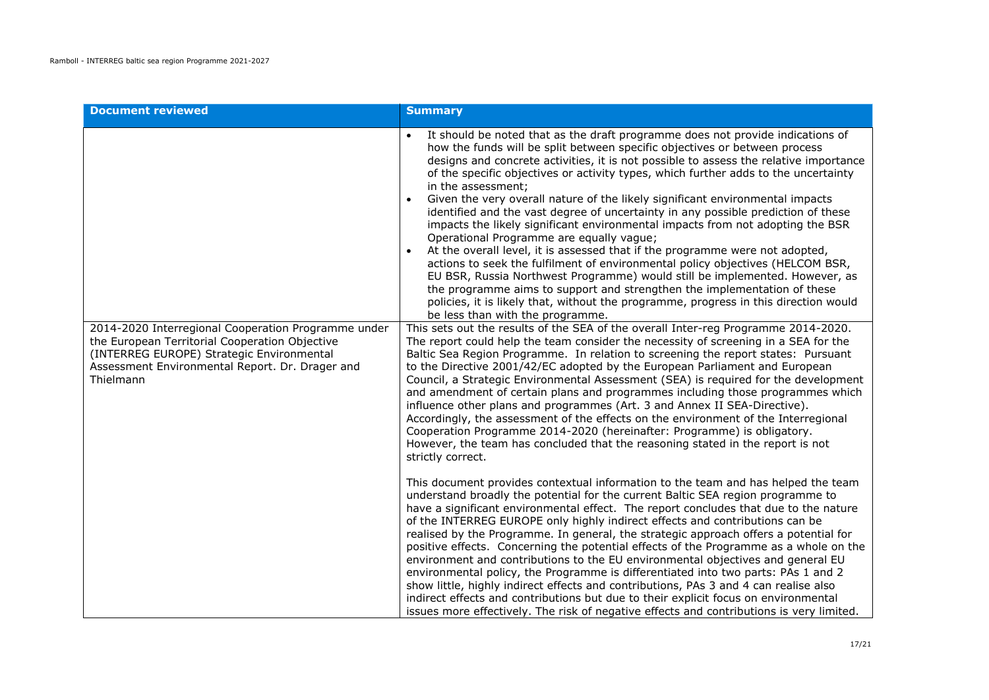| <b>Document reviewed</b>                                                                                                                                                                                           | <b>Summary</b>                                                                                                                                                                                                                                                                                                                                                                                                                                                                                                                                                                                                                                                                                                                                                                                                                                                                                                                                                                                                                                                                                                                  |
|--------------------------------------------------------------------------------------------------------------------------------------------------------------------------------------------------------------------|---------------------------------------------------------------------------------------------------------------------------------------------------------------------------------------------------------------------------------------------------------------------------------------------------------------------------------------------------------------------------------------------------------------------------------------------------------------------------------------------------------------------------------------------------------------------------------------------------------------------------------------------------------------------------------------------------------------------------------------------------------------------------------------------------------------------------------------------------------------------------------------------------------------------------------------------------------------------------------------------------------------------------------------------------------------------------------------------------------------------------------|
|                                                                                                                                                                                                                    | It should be noted that as the draft programme does not provide indications of<br>how the funds will be split between specific objectives or between process<br>designs and concrete activities, it is not possible to assess the relative importance<br>of the specific objectives or activity types, which further adds to the uncertainty<br>in the assessment;<br>Given the very overall nature of the likely significant environmental impacts<br>identified and the vast degree of uncertainty in any possible prediction of these<br>impacts the likely significant environmental impacts from not adopting the BSR<br>Operational Programme are equally vague;<br>At the overall level, it is assessed that if the programme were not adopted,<br>actions to seek the fulfilment of environmental policy objectives (HELCOM BSR,<br>EU BSR, Russia Northwest Programme) would still be implemented. However, as<br>the programme aims to support and strengthen the implementation of these<br>policies, it is likely that, without the programme, progress in this direction would<br>be less than with the programme. |
| 2014-2020 Interregional Cooperation Programme under<br>the European Territorial Cooperation Objective<br>(INTERREG EUROPE) Strategic Environmental<br>Assessment Environmental Report. Dr. Drager and<br>Thielmann | This sets out the results of the SEA of the overall Inter-reg Programme 2014-2020.<br>The report could help the team consider the necessity of screening in a SEA for the<br>Baltic Sea Region Programme. In relation to screening the report states: Pursuant<br>to the Directive 2001/42/EC adopted by the European Parliament and European<br>Council, a Strategic Environmental Assessment (SEA) is required for the development<br>and amendment of certain plans and programmes including those programmes which<br>influence other plans and programmes (Art. 3 and Annex II SEA-Directive).<br>Accordingly, the assessment of the effects on the environment of the Interregional<br>Cooperation Programme 2014-2020 (hereinafter: Programme) is obligatory.<br>However, the team has concluded that the reasoning stated in the report is not<br>strictly correct.                                                                                                                                                                                                                                                     |
|                                                                                                                                                                                                                    | This document provides contextual information to the team and has helped the team<br>understand broadly the potential for the current Baltic SEA region programme to<br>have a significant environmental effect. The report concludes that due to the nature<br>of the INTERREG EUROPE only highly indirect effects and contributions can be<br>realised by the Programme. In general, the strategic approach offers a potential for<br>positive effects. Concerning the potential effects of the Programme as a whole on the<br>environment and contributions to the EU environmental objectives and general EU<br>environmental policy, the Programme is differentiated into two parts: PAs 1 and 2<br>show little, highly indirect effects and contributions, PAs 3 and 4 can realise also<br>indirect effects and contributions but due to their explicit focus on environmental<br>issues more effectively. The risk of negative effects and contributions is very limited.                                                                                                                                                |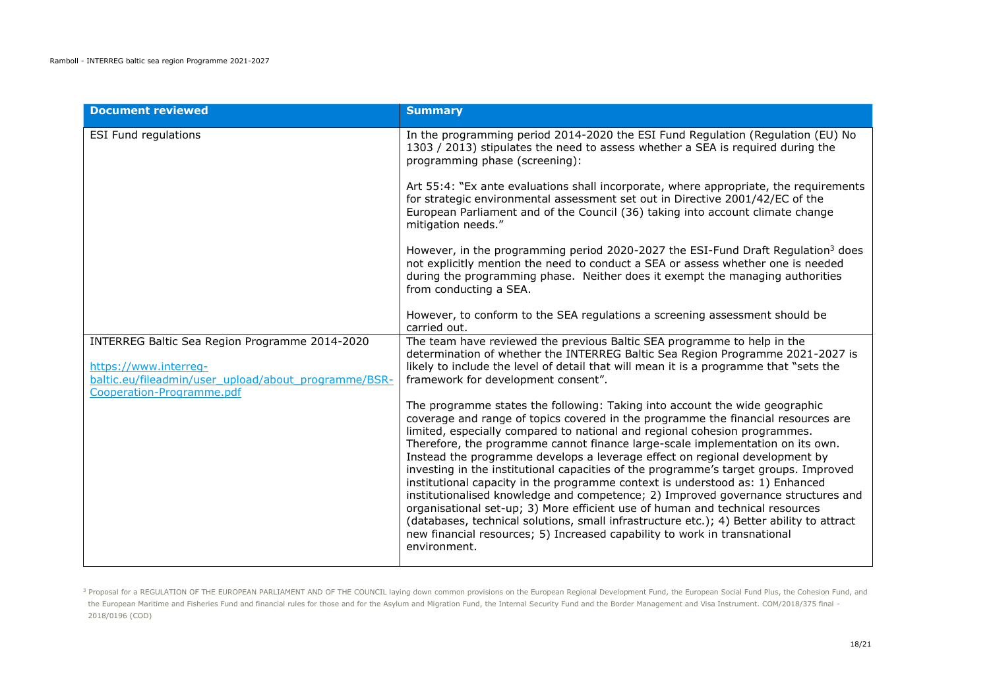| <b>Document reviewed</b>                                                                                                                                     | <b>Summary</b>                                                                                                                                                                                                                                                                                                                                                                                                                                                                                                                                                                                                                                                                                                                                                                                                                                                                                                                                           |
|--------------------------------------------------------------------------------------------------------------------------------------------------------------|----------------------------------------------------------------------------------------------------------------------------------------------------------------------------------------------------------------------------------------------------------------------------------------------------------------------------------------------------------------------------------------------------------------------------------------------------------------------------------------------------------------------------------------------------------------------------------------------------------------------------------------------------------------------------------------------------------------------------------------------------------------------------------------------------------------------------------------------------------------------------------------------------------------------------------------------------------|
| <b>ESI Fund regulations</b>                                                                                                                                  | In the programming period 2014-2020 the ESI Fund Regulation (Regulation (EU) No<br>1303 / 2013) stipulates the need to assess whether a SEA is required during the<br>programming phase (screening):                                                                                                                                                                                                                                                                                                                                                                                                                                                                                                                                                                                                                                                                                                                                                     |
|                                                                                                                                                              | Art 55:4: "Ex ante evaluations shall incorporate, where appropriate, the requirements<br>for strategic environmental assessment set out in Directive 2001/42/EC of the<br>European Parliament and of the Council (36) taking into account climate change<br>mitigation needs."                                                                                                                                                                                                                                                                                                                                                                                                                                                                                                                                                                                                                                                                           |
|                                                                                                                                                              | However, in the programming period 2020-2027 the ESI-Fund Draft Regulation <sup>3</sup> does<br>not explicitly mention the need to conduct a SEA or assess whether one is needed<br>during the programming phase. Neither does it exempt the managing authorities<br>from conducting a SEA.                                                                                                                                                                                                                                                                                                                                                                                                                                                                                                                                                                                                                                                              |
|                                                                                                                                                              | However, to conform to the SEA regulations a screening assessment should be<br>carried out.                                                                                                                                                                                                                                                                                                                                                                                                                                                                                                                                                                                                                                                                                                                                                                                                                                                              |
| INTERREG Baltic Sea Region Programme 2014-2020<br>https://www.interreg-<br>baltic.eu/fileadmin/user_upload/about_programme/BSR-<br>Cooperation-Programme.pdf | The team have reviewed the previous Baltic SEA programme to help in the<br>determination of whether the INTERREG Baltic Sea Region Programme 2021-2027 is<br>likely to include the level of detail that will mean it is a programme that "sets the<br>framework for development consent".                                                                                                                                                                                                                                                                                                                                                                                                                                                                                                                                                                                                                                                                |
|                                                                                                                                                              | The programme states the following: Taking into account the wide geographic<br>coverage and range of topics covered in the programme the financial resources are<br>limited, especially compared to national and regional cohesion programmes.<br>Therefore, the programme cannot finance large-scale implementation on its own.<br>Instead the programme develops a leverage effect on regional development by<br>investing in the institutional capacities of the programme's target groups. Improved<br>institutional capacity in the programme context is understood as: 1) Enhanced<br>institutionalised knowledge and competence; 2) Improved governance structures and<br>organisational set-up; 3) More efficient use of human and technical resources<br>(databases, technical solutions, small infrastructure etc.); 4) Better ability to attract<br>new financial resources; 5) Increased capability to work in transnational<br>environment. |

<sup>3</sup> Proposal for a REGULATION OF THE EUROPEAN PARLIAMENT AND OF THE COUNCIL laying down common provisions on the European Regional Development Fund, the European Social Fund Plus, the Cohesion Fund, and the European Maritime and Fisheries Fund and financial rules for those and for the Asylum and Migration Fund, the Internal Security Fund and the Border Management and Visa Instrument. COM/2018/375 final -2018/0196 (COD)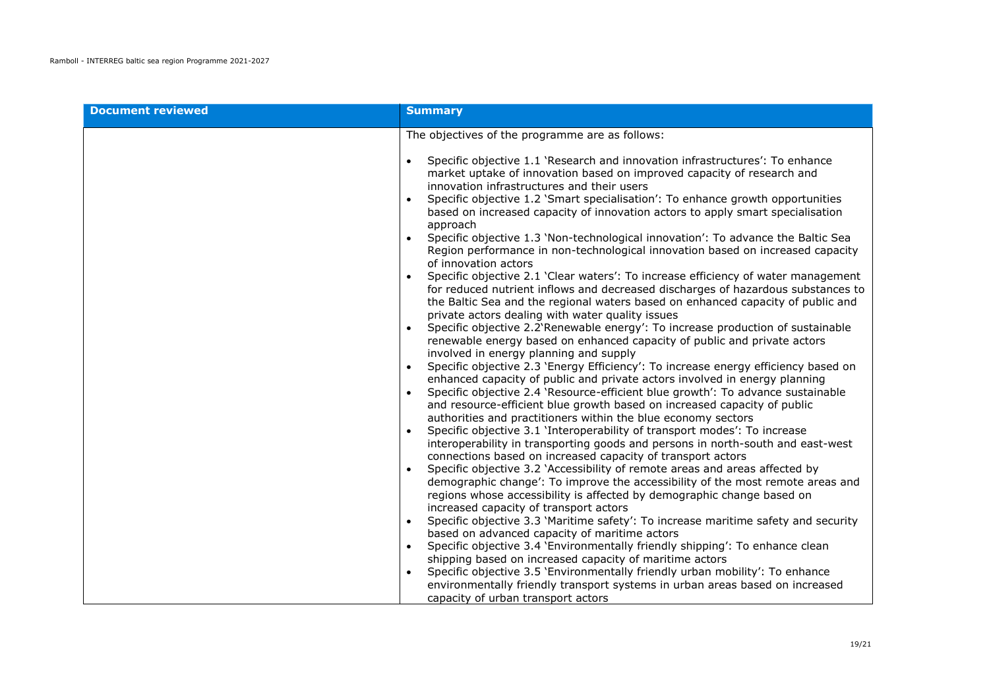| <b>Document reviewed</b> | <b>Summary</b>                                                                                                                                                                                                                                                                                                                                                                                                                                                                                                                                                                                                                                                                                                                                                                                                                                                                                                                                                                                                                                                                                                                                                                                                                                                                                                                                                                                                                                                                                                                                                                                                                                                                                                                                                                                                                |
|--------------------------|-------------------------------------------------------------------------------------------------------------------------------------------------------------------------------------------------------------------------------------------------------------------------------------------------------------------------------------------------------------------------------------------------------------------------------------------------------------------------------------------------------------------------------------------------------------------------------------------------------------------------------------------------------------------------------------------------------------------------------------------------------------------------------------------------------------------------------------------------------------------------------------------------------------------------------------------------------------------------------------------------------------------------------------------------------------------------------------------------------------------------------------------------------------------------------------------------------------------------------------------------------------------------------------------------------------------------------------------------------------------------------------------------------------------------------------------------------------------------------------------------------------------------------------------------------------------------------------------------------------------------------------------------------------------------------------------------------------------------------------------------------------------------------------------------------------------------------|
|                          | The objectives of the programme are as follows:                                                                                                                                                                                                                                                                                                                                                                                                                                                                                                                                                                                                                                                                                                                                                                                                                                                                                                                                                                                                                                                                                                                                                                                                                                                                                                                                                                                                                                                                                                                                                                                                                                                                                                                                                                               |
|                          | Specific objective 1.1 'Research and innovation infrastructures': To enhance<br>market uptake of innovation based on improved capacity of research and<br>innovation infrastructures and their users<br>Specific objective 1.2 'Smart specialisation': To enhance growth opportunities<br>based on increased capacity of innovation actors to apply smart specialisation<br>approach<br>Specific objective 1.3 'Non-technological innovation': To advance the Baltic Sea<br>Region performance in non-technological innovation based on increased capacity<br>of innovation actors<br>Specific objective 2.1 'Clear waters': To increase efficiency of water management<br>for reduced nutrient inflows and decreased discharges of hazardous substances to<br>the Baltic Sea and the regional waters based on enhanced capacity of public and<br>private actors dealing with water quality issues<br>Specific objective 2.2'Renewable energy': To increase production of sustainable<br>renewable energy based on enhanced capacity of public and private actors<br>involved in energy planning and supply<br>Specific objective 2.3 'Energy Efficiency': To increase energy efficiency based on<br>enhanced capacity of public and private actors involved in energy planning<br>Specific objective 2.4 'Resource-efficient blue growth': To advance sustainable<br>and resource-efficient blue growth based on increased capacity of public<br>authorities and practitioners within the blue economy sectors<br>Specific objective 3.1 'Interoperability of transport modes': To increase<br>interoperability in transporting goods and persons in north-south and east-west<br>connections based on increased capacity of transport actors<br>Specific objective 3.2 'Accessibility of remote areas and areas affected by |
|                          | demographic change': To improve the accessibility of the most remote areas and<br>regions whose accessibility is affected by demographic change based on<br>increased capacity of transport actors                                                                                                                                                                                                                                                                                                                                                                                                                                                                                                                                                                                                                                                                                                                                                                                                                                                                                                                                                                                                                                                                                                                                                                                                                                                                                                                                                                                                                                                                                                                                                                                                                            |
|                          | Specific objective 3.3 'Maritime safety': To increase maritime safety and security<br>based on advanced capacity of maritime actors                                                                                                                                                                                                                                                                                                                                                                                                                                                                                                                                                                                                                                                                                                                                                                                                                                                                                                                                                                                                                                                                                                                                                                                                                                                                                                                                                                                                                                                                                                                                                                                                                                                                                           |
|                          | Specific objective 3.4 'Environmentally friendly shipping': To enhance clean                                                                                                                                                                                                                                                                                                                                                                                                                                                                                                                                                                                                                                                                                                                                                                                                                                                                                                                                                                                                                                                                                                                                                                                                                                                                                                                                                                                                                                                                                                                                                                                                                                                                                                                                                  |
|                          | shipping based on increased capacity of maritime actors<br>Specific objective 3.5 'Environmentally friendly urban mobility': To enhance<br>environmentally friendly transport systems in urban areas based on increased                                                                                                                                                                                                                                                                                                                                                                                                                                                                                                                                                                                                                                                                                                                                                                                                                                                                                                                                                                                                                                                                                                                                                                                                                                                                                                                                                                                                                                                                                                                                                                                                       |
|                          | capacity of urban transport actors                                                                                                                                                                                                                                                                                                                                                                                                                                                                                                                                                                                                                                                                                                                                                                                                                                                                                                                                                                                                                                                                                                                                                                                                                                                                                                                                                                                                                                                                                                                                                                                                                                                                                                                                                                                            |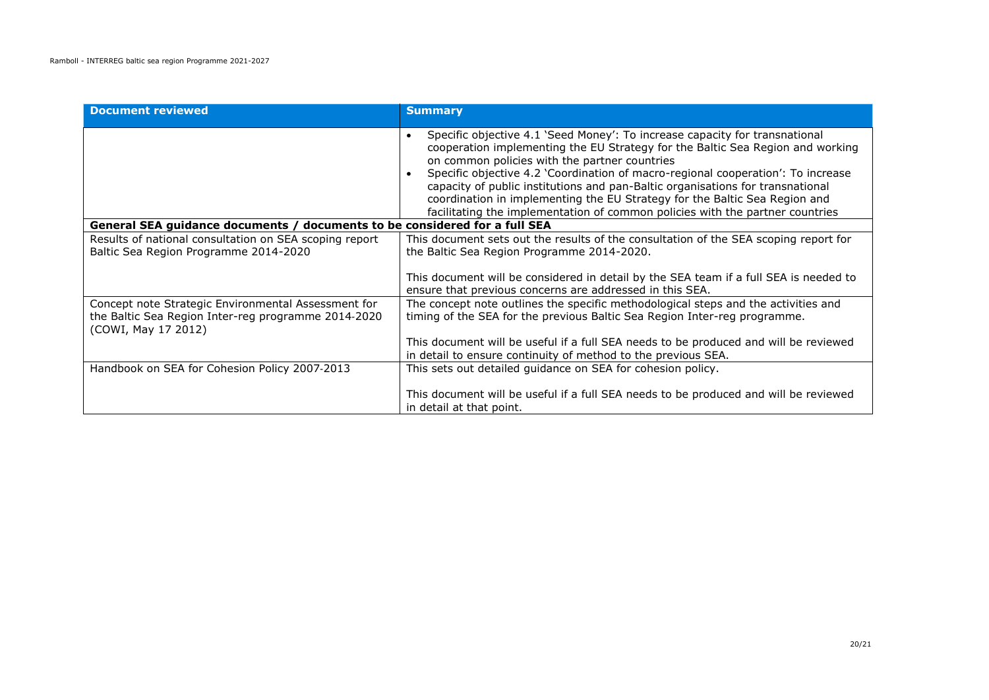| <b>Document reviewed</b>                                                                                                          | <b>Summary</b>                                                                                                                                                                                                                                                                                                                                                                                                                                                                                                                                      |
|-----------------------------------------------------------------------------------------------------------------------------------|-----------------------------------------------------------------------------------------------------------------------------------------------------------------------------------------------------------------------------------------------------------------------------------------------------------------------------------------------------------------------------------------------------------------------------------------------------------------------------------------------------------------------------------------------------|
|                                                                                                                                   | Specific objective 4.1 'Seed Money': To increase capacity for transnational<br>cooperation implementing the EU Strategy for the Baltic Sea Region and working<br>on common policies with the partner countries<br>Specific objective 4.2 'Coordination of macro-regional cooperation': To increase<br>capacity of public institutions and pan-Baltic organisations for transnational<br>coordination in implementing the EU Strategy for the Baltic Sea Region and<br>facilitating the implementation of common policies with the partner countries |
| General SEA guidance documents / documents to be considered for a full SEA                                                        |                                                                                                                                                                                                                                                                                                                                                                                                                                                                                                                                                     |
| Results of national consultation on SEA scoping report<br>Baltic Sea Region Programme 2014-2020                                   | This document sets out the results of the consultation of the SEA scoping report for<br>the Baltic Sea Region Programme 2014-2020.<br>This document will be considered in detail by the SEA team if a full SEA is needed to<br>ensure that previous concerns are addressed in this SEA.                                                                                                                                                                                                                                                             |
| Concept note Strategic Environmental Assessment for<br>the Baltic Sea Region Inter-reg programme 2014-2020<br>(COWI, May 17 2012) | The concept note outlines the specific methodological steps and the activities and<br>timing of the SEA for the previous Baltic Sea Region Inter-reg programme.<br>This document will be useful if a full SEA needs to be produced and will be reviewed<br>in detail to ensure continuity of method to the previous SEA.                                                                                                                                                                                                                            |
| Handbook on SEA for Cohesion Policy 2007-2013                                                                                     | This sets out detailed quidance on SEA for cohesion policy.<br>This document will be useful if a full SEA needs to be produced and will be reviewed<br>in detail at that point.                                                                                                                                                                                                                                                                                                                                                                     |